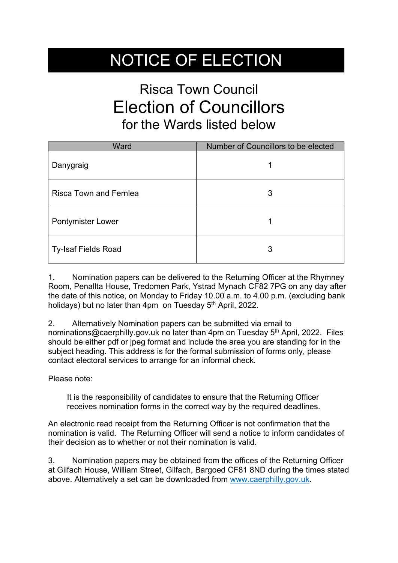## NOTICE OF ELECTION

## Risca Town Council Election of Councillors for the Wards listed below

| Ward                          | Number of Councillors to be elected |
|-------------------------------|-------------------------------------|
| Danygraig                     |                                     |
| <b>Risca Town and Fernlea</b> | 3                                   |
| <b>Pontymister Lower</b>      |                                     |
| <b>Ty-Isaf Fields Road</b>    | 3                                   |

1. Nomination papers can be delivered to the Returning Officer at the Rhymney Room, Penallta House, Tredomen Park, Ystrad Mynach CF82 7PG on any day after the date of this notice, on Monday to Friday 10.00 a.m. to 4.00 p.m. (excluding bank holidays) but no later than 4pm on Tuesday 5<sup>th</sup> April, 2022.

2. Alternatively Nomination papers can be submitted via email to nominations@caerphilly.gov.uk no later than 4pm on Tuesday 5<sup>th</sup> April, 2022. Files should be either pdf or jpeg format and include the area you are standing for in the subject heading. This address is for the formal submission of forms only, please contact electoral services to arrange for an informal check.

Please note:

It is the responsibility of candidates to ensure that the Returning Officer receives nomination forms in the correct way by the required deadlines.

An electronic read receipt from the Returning Officer is not confirmation that the nomination is valid. The Returning Officer will send a notice to inform candidates of their decision as to whether or not their nomination is valid.

3. Nomination papers may be obtained from the offices of the Returning Officer at Gilfach House, William Street, Gilfach, Bargoed CF81 8ND during the times stated above. Alternatively a set can be downloaded from [www.caerphilly.gov.uk.](http://www.caerphilly.gov.uk/)